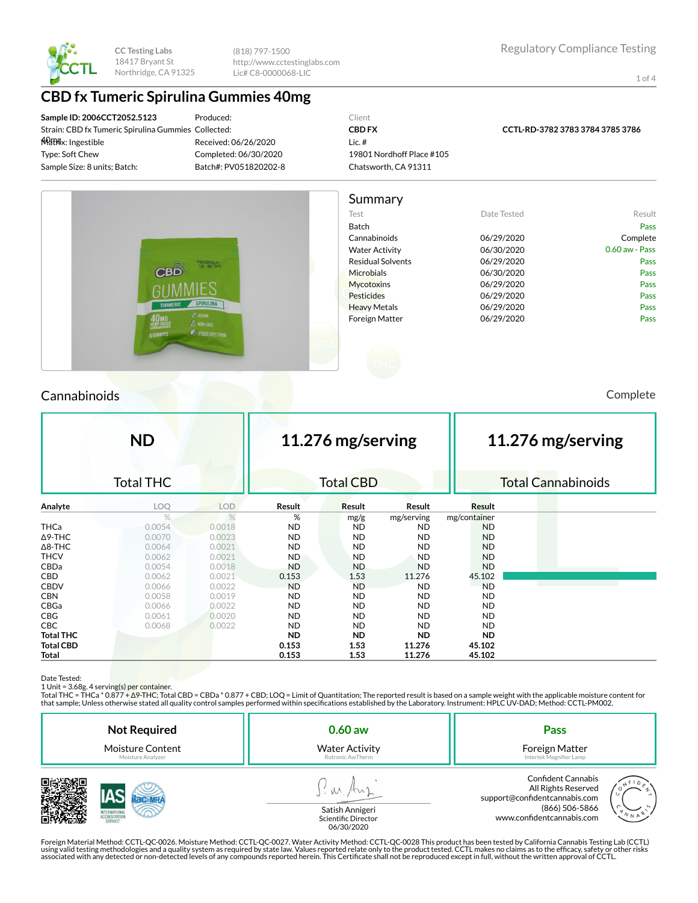

(818) 797-1500 http://www.cctestinglabs.com Lic# C8-0000068-LIC

1 of 4

# **CBD fx Tumeric Spirulina Gummies 40mg**

**Sample ID: 2006CCT2052.5123** Strain: CBD fx Tumeric Spirulina Gummies Collected: 40mg Matrix: Ingestible Type: Soft Chew Sample Size: 8 units; Batch:

Produced: Received: 06/26/2020 Completed: 06/30/2020 Batch#: PV051820202-8

#### Client **CBD FX** Lic. # 19801 Nordhoff Place #105 Chatsworth, CA 91311

**CCTL-RD-3782 3783 3784 3785 3786**



### Cannabinoids Complete

|                  | <b>ND</b>        |            | 11.276 mg/serving |                  |            | 11.276 mg/serving |  |                           |  |
|------------------|------------------|------------|-------------------|------------------|------------|-------------------|--|---------------------------|--|
|                  | <b>Total THC</b> |            |                   | <b>Total CBD</b> |            |                   |  | <b>Total Cannabinoids</b> |  |
| Analyte          | LOQ              | <b>LOD</b> | Result            | Result           | Result     | Result            |  |                           |  |
|                  | $\%$             | $\%$       | %                 | mg/g             | mg/serving | mg/container      |  |                           |  |
| <b>THCa</b>      | 0.0054           | 0.0018     | <b>ND</b>         | <b>ND</b>        | <b>ND</b>  | <b>ND</b>         |  |                           |  |
| $\Delta$ 9-THC   | 0.0070           | 0.0023     | <b>ND</b>         | <b>ND</b>        | <b>ND</b>  | <b>ND</b>         |  |                           |  |
| $\Delta$ 8-THC   | 0.0064           | 0.0021     | <b>ND</b>         | <b>ND</b>        | <b>ND</b>  | <b>ND</b>         |  |                           |  |
| <b>THCV</b>      | 0.0062           | 0.0021     | <b>ND</b>         | <b>ND</b>        | <b>ND</b>  | <b>ND</b>         |  |                           |  |
| CBDa             | 0.0054           | 0.0018     | <b>ND</b>         | <b>ND</b>        | <b>ND</b>  | <b>ND</b>         |  |                           |  |
| CBD.             | 0.0062           | 0.0021     | 0.153             | 1.53             | 11.276     | 45.102            |  |                           |  |
| <b>CBDV</b>      | 0.0066           | 0.0022     | <b>ND</b>         | <b>ND</b>        | <b>ND</b>  | <b>ND</b>         |  |                           |  |
| <b>CBN</b>       | 0.0058           | 0.0019     | <b>ND</b>         | <b>ND</b>        | <b>ND</b>  | ND.               |  |                           |  |
| CBGa             | 0.0066           | 0.0022     | <b>ND</b>         | <b>ND</b>        | <b>ND</b>  | ND.               |  |                           |  |
| <b>CBG</b>       | 0.0061           | 0.0020     | <b>ND</b>         | <b>ND</b>        | <b>ND</b>  | ND.               |  |                           |  |
| <b>CBC</b>       | 0.0068           | 0.0022     | <b>ND</b>         | <b>ND</b>        | <b>ND</b>  | ND.               |  |                           |  |
| <b>Total THC</b> |                  |            | <b>ND</b>         | <b>ND</b>        | <b>ND</b>  | ND.               |  |                           |  |
| <b>Total CBD</b> |                  |            | 0.153             | 1.53             | 11.276     | 45.102            |  |                           |  |
| Total            |                  |            | 0.153             | 1.53             | 11.276     | 45.102            |  |                           |  |

品数彩波

Date Tested:<br>1 Unit = 3.68g. 4 serving(s) per container.

Total THC = THCa \* 0.877 + ∆9-THC; Total CBD = CBDa \* 0.877 + CBD; LOQ = Limit of Quantitation; The reported result is based on a sample weight with the applicable moisture content for that sample; Unless otherwise stated all quality control samples performed within specications established by the Laboratory. Instrument: HPLC UV-DAD; Method: CCTL-PM002.

| <b>Not Required</b>     |  | $0.60$ aw                              | Pass                                                                                                                             |        |  |
|-------------------------|--|----------------------------------------|----------------------------------------------------------------------------------------------------------------------------------|--------|--|
| <b>Moisture Content</b> |  | <b>Water Activity</b>                  | Foreign Matter                                                                                                                   |        |  |
| Moisture Analyzer       |  | Rotronic AwTherm                       | Intertek Magnifier Lamp                                                                                                          |        |  |
|                         |  | Satish Annigeri<br>Scientific Director | <b>Confident Cannabis</b><br>All Rights Reserved<br>support@confidentcannabis.com<br>(866) 506-5866<br>www.confidentcannabis.com | 10 N N |  |



atish Annigeri Scientific Director 06/30/2020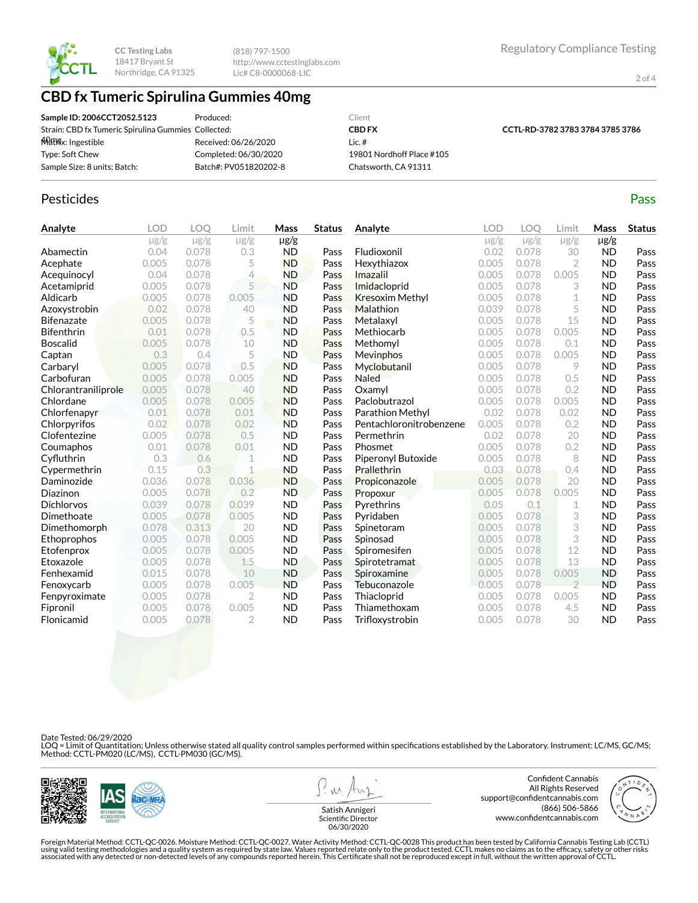(818) 797-1500 http://www.cctestinglabs.com Lic# C8-0000068-LIC

2 of 4

# **CBD fx Tumeric Spirulina Gummies 40mg**

| Sample ID: 2006CCT2052.5123                         | Produced:             | Client                    |                                  |
|-----------------------------------------------------|-----------------------|---------------------------|----------------------------------|
| Strain: CBD fx Tumeric Spirulina Gummies Collected: |                       | <b>CBD FX</b>             | CCTL-RD-3782 3783 3784 3785 3786 |
| <del>M</del> िशीर्षx: Ingestible                    | Received: 06/26/2020  | Lic. #                    |                                  |
| Type: Soft Chew                                     | Completed: 06/30/2020 | 19801 Nordhoff Place #105 |                                  |
| Sample Size: 8 units; Batch:                        | Batch#: PV051820202-8 | Chatsworth, CA 91311      |                                  |

#### Pesticides **Passage Contract Contract Contract Contract Contract Contract Contract Contract Contract Contract Contract Contract Contract Contract Contract Contract Contract Contract Contract Contract Contract Contract Cont**

| Analyte             | <b>LOD</b> | LOO       | Limit          | Mass      | <b>Status</b> | Analyte                 | LOD       | LOO       | Limit          | Mass      | <b>Status</b> |
|---------------------|------------|-----------|----------------|-----------|---------------|-------------------------|-----------|-----------|----------------|-----------|---------------|
|                     | $\mu$ g/g  | $\mu$ g/g | $\mu$ g/g      | $\mu$ g/g |               |                         | $\mu$ g/g | $\mu$ g/g | $\mu$ g/g      | $\mu$ g/g |               |
| Abamectin           | 0.04       | 0.078     | 0.3            | <b>ND</b> | Pass          | Fludioxonil             | 0.02      | 0.078     | 30             | <b>ND</b> | Pass          |
| Acephate            | 0.005      | 0.078     | 5              | <b>ND</b> | Pass          | Hexythiazox             | 0.005     | 0.078     | $\overline{2}$ | <b>ND</b> | Pass          |
| Acequinocyl         | 0.04       | 0.078     | 4              | <b>ND</b> | Pass          | Imazalil                | 0.005     | 0.078     | 0.005          | <b>ND</b> | Pass          |
| Acetamiprid         | 0.005      | 0.078     | 5              | <b>ND</b> | Pass          | Imidacloprid            | 0.005     | 0.078     | 3              | <b>ND</b> | Pass          |
| Aldicarb            | 0.005      | 0.078     | 0.005          | <b>ND</b> | Pass          | <b>Kresoxim Methyl</b>  | 0.005     | 0.078     | 1              | <b>ND</b> | Pass          |
| Azoxystrobin        | 0.02       | 0.078     | 40             | <b>ND</b> | Pass          | Malathion               | 0.039     | 0.078     | 5              | <b>ND</b> | Pass          |
| <b>Bifenazate</b>   | 0.005      | 0.078     | 5              | <b>ND</b> | Pass          | Metalaxyl               | 0.005     | 0.078     | 15             | <b>ND</b> | Pass          |
| <b>Bifenthrin</b>   | 0.01       | 0.078     | 0.5            | <b>ND</b> | Pass          | Methiocarb              | 0.005     | 0.078     | 0.005          | <b>ND</b> | Pass          |
| <b>Boscalid</b>     | 0.005      | 0.078     | 10             | <b>ND</b> | Pass          | Methomyl                | 0.005     | 0.078     | 0.1            | <b>ND</b> | Pass          |
| Captan              | 0.3        | 0.4       | 5              | <b>ND</b> | Pass          | <b>Mevinphos</b>        | 0.005     | 0.078     | 0.005          | <b>ND</b> | Pass          |
| Carbaryl            | 0.005      | 0.078     | 0.5            | <b>ND</b> | Pass          | Myclobutanil            | 0.005     | 0.078     | 9              | <b>ND</b> | Pass          |
| Carbofuran          | 0.005      | 0.078     | 0.005          | <b>ND</b> | Pass          | <b>Naled</b>            | 0.005     | 0.078     | 0.5            | <b>ND</b> | Pass          |
| Chlorantraniliprole | 0.005      | 0.078     | 40             | <b>ND</b> | Pass          | Oxamvl                  | 0.005     | 0.078     | 0.2            | <b>ND</b> | Pass          |
| Chlordane           | 0.005      | 0.078     | 0.005          | <b>ND</b> | Pass          | Paclobutrazol           | 0.005     | 0.078     | 0.005          | <b>ND</b> | Pass          |
| Chlorfenapyr        | 0.01       | 0.078     | 0.01           | <b>ND</b> | Pass          | Parathion Methyl        | 0.02      | 0.078     | 0.02           | <b>ND</b> | Pass          |
| Chlorpyrifos        | 0.02       | 0.078     | 0.02           | <b>ND</b> | Pass          | Pentachloronitrobenzene | 0.005     | 0.078     | 0.2            | <b>ND</b> | Pass          |
| Clofentezine        | 0.005      | 0.078     | 0.5            | <b>ND</b> | Pass          | Permethrin              | 0.02      | 0.078     | 20             | <b>ND</b> | Pass          |
| Coumaphos           | 0.01       | 0.078     | 0.01           | <b>ND</b> | Pass          | Phosmet                 | 0.005     | 0.078     | 0.2            | <b>ND</b> | Pass          |
| Cyfluthrin          | 0.3        | 0.6       | 1              | <b>ND</b> | Pass          | Piperonyl Butoxide      | 0.005     | 0.078     | 8              | <b>ND</b> | Pass          |
| Cypermethrin        | 0.15       | 0.3       | 1              | <b>ND</b> | Pass          | <b>Prallethrin</b>      | 0.03      | 0.078     | 0.4            | <b>ND</b> | Pass          |
| Daminozide          | 0.036      | 0.078     | 0.036          | <b>ND</b> | Pass          | Propiconazole           | 0.005     | 0.078     | 20             | <b>ND</b> | Pass          |
| Diazinon            | 0.005      | 0.078     | 0.2            | <b>ND</b> | Pass          | Propoxur                | 0.005     | 0.078     | 0.005          | <b>ND</b> | Pass          |
| <b>Dichlorvos</b>   | 0.039      | 0.078     | 0.039          | <b>ND</b> | Pass          | Pyrethrins              | 0.05      | 0.1       | 1              | <b>ND</b> | Pass          |
| Dimethoate          | 0.005      | 0.078     | 0.005          | <b>ND</b> | Pass          | Pyridaben               | 0.005     | 0.078     | 3              | <b>ND</b> | Pass          |
| Dimethomorph        | 0.078      | 0.313     | 20             | <b>ND</b> | Pass          | Spinetoram              | 0.005     | 0.078     | 3              | <b>ND</b> | Pass          |
| Ethoprophos         | 0.005      | 0.078     | 0.005          | <b>ND</b> | Pass          | Spinosad                | 0.005     | 0.078     | 3              | <b>ND</b> | Pass          |
| Etofenprox          | 0.005      | 0.078     | 0.005          | <b>ND</b> | Pass          | Spiromesifen            | 0.005     | 0.078     | 12             | <b>ND</b> | Pass          |
| Etoxazole           | 0.005      | 0.078     | 1.5            | <b>ND</b> | Pass          | Spirotetramat           | 0.005     | 0.078     | 13             | <b>ND</b> | Pass          |
| Fenhexamid          | 0.015      | 0.078     | 10             | <b>ND</b> | Pass          | Spiroxamine             | 0.005     | 0.078     | 0.005          | <b>ND</b> | Pass          |
| Fenoxycarb          | 0.005      | 0.078     | 0.005          | <b>ND</b> | Pass          | Tebuconazole            | 0.005     | 0.078     | $\overline{2}$ | <b>ND</b> | Pass          |
| Fenpyroximate       | 0.005      | 0.078     | $\overline{2}$ | <b>ND</b> | Pass          | Thiacloprid             | 0.005     | 0.078     | 0.005          | <b>ND</b> | Pass          |
| Fipronil            | 0.005      | 0.078     | 0.005          | <b>ND</b> | Pass          | Thiamethoxam            | 0.005     | 0.078     | 4.5            | <b>ND</b> | Pass          |
| Flonicamid          | 0.005      | 0.078     | $\overline{2}$ | <b>ND</b> | Pass          | Trifloxystrobin         | 0.005     | 0.078     | 30             | <b>ND</b> | Pass          |

Date Tested: 06/29/2020

LOQ = Limit of Quantitation; Unless otherwise stated all quality control samples performed within specifications established by the Laboratory. Instrument: LC/MS, GC/MS;<br>Method: CCTL-PM020 (LC/MS), CCTL-PM030 (GC/MS).



**W** 

Confident Cannabis All Rights Reserved support@confidentcannabis.com (866) 506-5866 www.confidentcannabis.com



Satish Annigeri Scientific Director 06/30/2020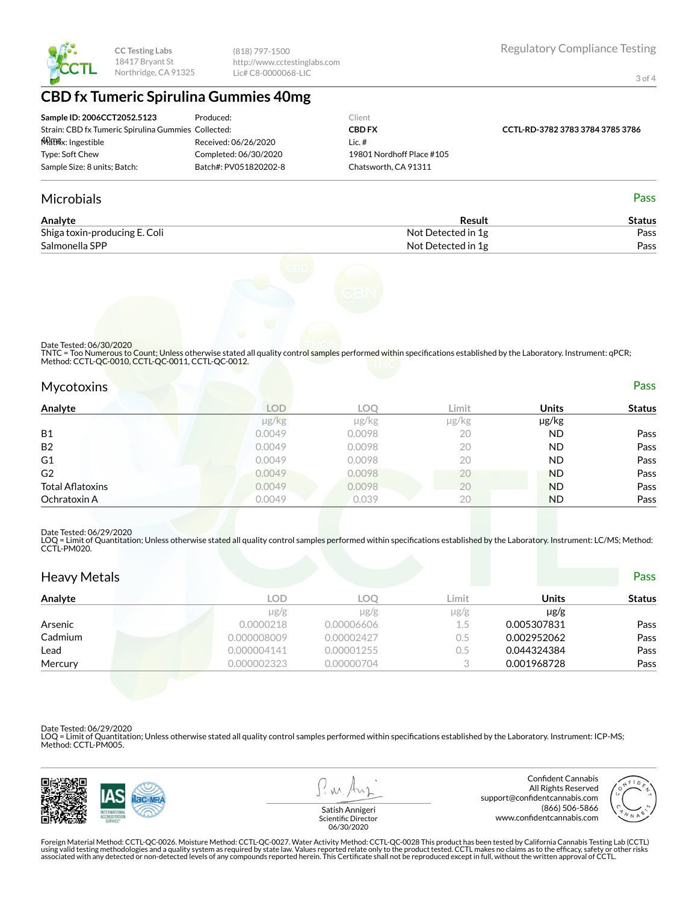(818) 797-1500 http://www.cctestinglabs.com Lic# C8-0000068-LIC

3 of 4

## **CBD fx Tumeric Spirulina Gummies 40mg**

| Sample ID: 2006CCT2052.5123                         | Produced:             | Client                    |                                  |
|-----------------------------------------------------|-----------------------|---------------------------|----------------------------------|
| Strain: CBD fx Tumeric Spirulina Gummies Collected: |                       | <b>CBD FX</b>             | CCTL-RD-3782 3783 3784 3785 3786 |
| <del>W</del> िशिश्वx: Ingestible                    | Received: 06/26/2020  | Lic. #                    |                                  |
| Type: Soft Chew                                     | Completed: 06/30/2020 | 19801 Nordhoff Place #105 |                                  |
| Sample Size: 8 units; Batch:                        | Batch#: PV051820202-8 | Chatsworth. CA 91311      |                                  |

#### Microbials Pass

| Analyte                       | Result             | Status |
|-------------------------------|--------------------|--------|
| Shiga toxin-producing E. Coli | Not Detected in 1g | Pass   |
| Salmonella SPP                | Not Detected in 1g | Pass   |



Date Tested: 06/30/2020

TNTC = Too Numerous to Count; Unless otherwise stated all quality control samples performed within specifications established by the Laboratory. Instrument: qPCR;<br>Method: CCTL-QC-0010, CCTL-QC-0011, CCTL-QC-0012.

| <b>Mycotoxins</b> | Pass |
|-------------------|------|
|                   |      |

| Analyte                 | <b>LOD</b> | <b>LOO</b> | Limit | <b>Units</b> | <b>Status</b> |
|-------------------------|------------|------------|-------|--------------|---------------|
|                         | µg/kg      | $\mu$ g/kg | µg/kg | µg/kg        |               |
| <b>B1</b>               | 0.0049     | 0.0098     | 20    | ND.          | Pass          |
| B <sub>2</sub>          | 0.0049     | 0.0098     | 20    | ND.          | Pass          |
| G <sub>1</sub>          | 0.0049     | 0.0098     | 20    | ND.          | Pass          |
| G <sub>2</sub>          | 0.0049     | 0.0098     | 20    | <b>ND</b>    | Pass          |
| <b>Total Aflatoxins</b> | 0.0049     | 0.0098     | 20    | <b>ND</b>    | Pass          |
| Ochratoxin A            | 0.0049     | 0.039      | 20    | <b>ND</b>    | Pass          |

#### Date Tested: 06/29/2020

LOQ = Limit of Quantitation; Unless otherwise stated all quality control samples performed within specifications established by the Laboratory. Instrument: LC/MS; Method:<br>CCTL-PM020.

| <b>Heavy Metals</b> |             |            |           |              | <b>Pass</b>   |
|---------------------|-------------|------------|-----------|--------------|---------------|
| Analyte             | <b>LOD</b>  | <b>LOO</b> | Limit     | <b>Units</b> | <b>Status</b> |
|                     | $\mu$ g/g   | $\mu$ g/g  | $\mu$ g/g | $\mu$ g/g    |               |
| Arsenic             | 0.0000218   | 0.00006606 | 1.5       | 0.005307831  | Pass          |
| Cadmium             | 0.000008009 | 0.00002427 | 0.5       | 0.002952062  | Pass          |
| Lead                | 0.000004141 | 0.00001255 | 0.5       | 0.044324384  | Pass          |
| Mercury             | 0.000002323 | 0.00000704 |           | 0.001968728  | Pass          |

Date Tested: 06/29/2020

LOQ = Limit of Quantitation; Unless otherwise stated all quality control samples performed within specifications established by the Laboratory. Instrument: ICP-MS; Method: CCTL-PM005.



 $\lambda \lambda$ 

Confident Cannabis All Rights Reserved support@confidentcannabis.com (866) 506-5866 www.confidentcannabis.com



Satish Annigeri Scientific Director 06/30/2020